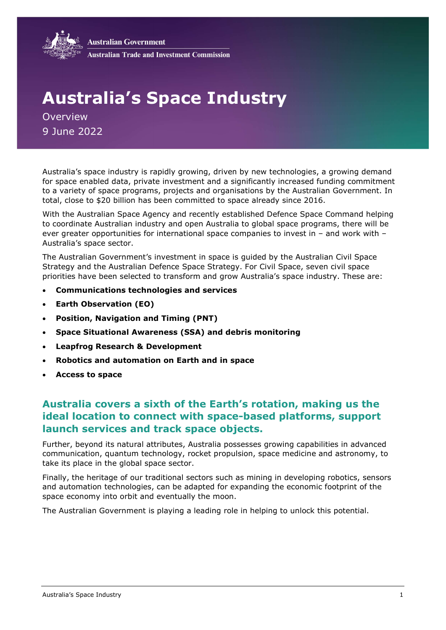

# Australia's Space Industry

**Overview** 9 June 2022

Australia's space industry is rapidly growing, driven by new technologies, a growing demand for space enabled data, private investment and a significantly increased funding commitment to a variety of space programs, projects and organisations by the Australian Government. In total, close to \$20 billion has been committed to space already since 2016.

With the Australian Space Agency and recently established Defence Space Command helping to coordinate Australian industry and open Australia to global space programs, there will be ever greater opportunities for international space companies to invest in – and work with – Australia's space sector.

The Australian Government's investment in space is guided by the Australian Civil Space Strategy and the Australian Defence Space Strategy. For Civil Space, seven civil space priorities have been selected to transform and grow Australia's space industry. These are:

- Communications technologies and services
- Earth Observation (EO)
- Position, Navigation and Timing (PNT)
- Space Situational Awareness (SSA) and debris monitoring
- Leapfrog Research & Development
- Robotics and automation on Earth and in space
- Access to space

# Australia covers a sixth of the Earth's rotation, making us the ideal location to connect with space-based platforms, support launch services and track space objects.

Further, beyond its natural attributes, Australia possesses growing capabilities in advanced communication, quantum technology, rocket propulsion, space medicine and astronomy, to take its place in the global space sector.

Finally, the heritage of our traditional sectors such as mining in developing robotics, sensors and automation technologies, can be adapted for expanding the economic footprint of the space economy into orbit and eventually the moon.

The Australian Government is playing a leading role in helping to unlock this potential.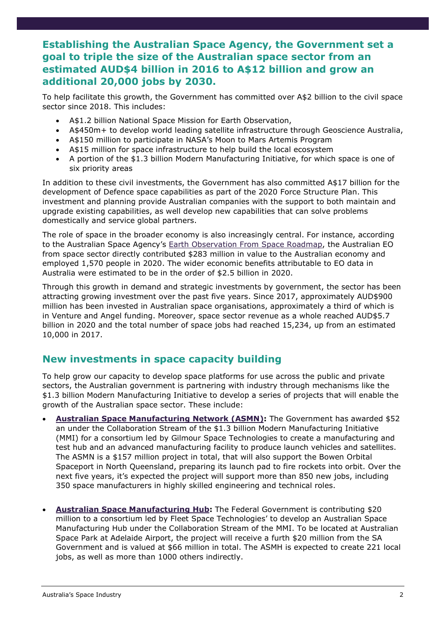# Establishing the Australian Space Agency, the Government set a goal to triple the size of the Australian space sector from an estimated AUD\$4 billion in 2016 to A\$12 billion and grow an additional 20,000 jobs by 2030.

To help facilitate this growth, the Government has committed over A\$2 billion to the civil space sector since 2018. This includes:

- A\$1.2 billion National Space Mission for Earth Observation,
- A\$450m+ to develop world leading satellite infrastructure through Geoscience Australia,
- A\$150 million to participate in NASA's Moon to Mars Artemis Program
- A\$15 million for space infrastructure to help build the local ecosystem
- A portion of the \$1.3 billion Modern Manufacturing Initiative, for which space is one of six priority areas

In addition to these civil investments, the Government has also committed A\$17 billion for the development of Defence space capabilities as part of the 2020 Force Structure Plan. This investment and planning provide Australian companies with the support to both maintain and upgrade existing capabilities, as well develop new capabilities that can solve problems domestically and service global partners.

The role of space in the broader economy is also increasingly central. For instance, according to the Australian Space Agency's **Earth Observation From Space Roadmap**, the Australian EO from space sector directly contributed \$283 million in value to the Australian economy and employed 1,570 people in 2020. The wider economic benefits attributable to EO data in Australia were estimated to be in the order of \$2.5 billion in 2020.

Through this growth in demand and strategic investments by government, the sector has been attracting growing investment over the past five years. Since 2017, approximately AUD\$900 million has been invested in Australian space organisations, approximately a third of which is in Venture and Angel funding. Moreover, space sector revenue as a whole reached AUD\$5.7 billion in 2020 and the total number of space jobs had reached 15,234, up from an estimated 10,000 in 2017.

## New investments in space capacity building

To help grow our capacity to develop space platforms for use across the public and private sectors, the Australian government is partnering with industry through mechanisms like the \$1.3 billion Modern Manufacturing Initiative to develop a series of projects that will enable the growth of the Australian space sector. These include:

- Australian Space Manufacturing Network (ASMN): The Government has awarded \$52 an under the Collaboration Stream of the \$1.3 billion Modern Manufacturing Initiative (MMI) for a consortium led by Gilmour Space Technologies to create a manufacturing and test hub and an advanced manufacturing facility to produce launch vehicles and satellites. The ASMN is a \$157 million project in total, that will also support the Bowen Orbital Spaceport in North Queensland, preparing its launch pad to fire rockets into orbit. Over the next five years, it's expected the project will support more than 850 new jobs, including 350 space manufacturers in highly skilled engineering and technical roles.
- Australian Space Manufacturing Hub: The Federal Government is contributing \$20 million to a consortium led by Fleet Space Technologies' to develop an Australian Space Manufacturing Hub under the Collaboration Stream of the MMI. To be located at Australian Space Park at Adelaide Airport, the project will receive a furth \$20 million from the SA Government and is valued at \$66 million in total. The ASMH is expected to create 221 local jobs, as well as more than 1000 others indirectly.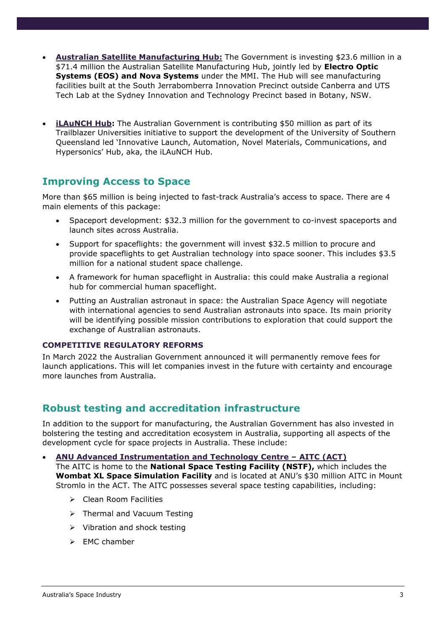- Australian Satellite Manufacturing Hub: The Government is investing \$23.6 million in a \$71.4 million the Australian Satellite Manufacturing Hub, jointly led by Electro Optic Systems (EOS) and Nova Systems under the MMI. The Hub will see manufacturing facilities built at the South Jerrabomberra Innovation Precinct outside Canberra and UTS Tech Lab at the Sydney Innovation and Technology Precinct based in Botany, NSW.
- **iLAuNCH Hub:** The Australian Government is contributing \$50 million as part of its Trailblazer Universities initiative to support the development of the University of Southern Queensland led 'Innovative Launch, Automation, Novel Materials, Communications, and Hypersonics' Hub, aka, the iLAuNCH Hub.

# Improving Access to Space

More than \$65 million is being injected to fast-track Australia's access to space. There are 4 main elements of this package:

- Spaceport development: \$32.3 million for the government to co-invest spaceports and launch sites across Australia.
- Support for spaceflights: the government will invest \$32.5 million to procure and provide spaceflights to get Australian technology into space sooner. This includes \$3.5 million for a national student space challenge.
- A framework for human spaceflight in Australia: this could make Australia a regional hub for commercial human spaceflight.
- Putting an Australian astronaut in space: the Australian Space Agency will negotiate with international agencies to send Australian astronauts into space. Its main priority will be identifying possible mission contributions to exploration that could support the exchange of Australian astronauts.

#### COMPETITIVE REGULATORY REFORMS

In March 2022 the Australian Government announced it will permanently remove fees for launch applications. This will let companies invest in the future with certainty and encourage more launches from Australia.

## Robust testing and accreditation infrastructure

In addition to the support for manufacturing, the Australian Government has also invested in bolstering the testing and accreditation ecosystem in Australia, supporting all aspects of the development cycle for space projects in Australia. These include:

#### ANU Advanced Instrumentation and Technology Centre – AITC (ACT)

The AITC is home to the **National Space Testing Facility (NSTF)**, which includes the Wombat XL Space Simulation Facility and is located at ANU's \$30 million AITC in Mount Stromlo in the ACT. The AITC possesses several space testing capabilities, including:

- $\triangleright$  Clean Room Facilities
- > Thermal and Vacuum Testing
- $\triangleright$  Vibration and shock testing
- $\triangleright$  EMC chamber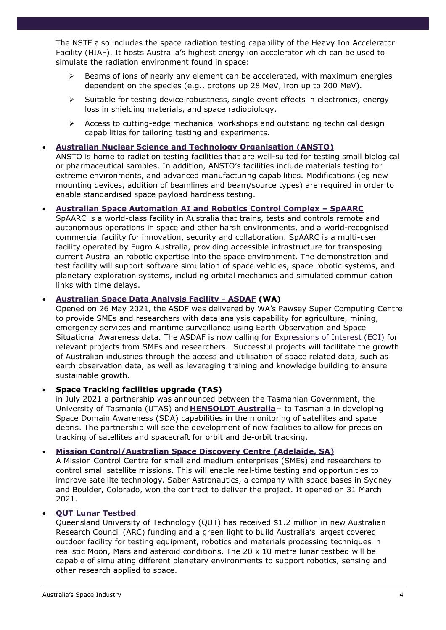The NSTF also includes the space radiation testing capability of the Heavy Ion Accelerator Facility (HIAF). It hosts Australia's highest energy ion accelerator which can be used to simulate the radiation environment found in space:

- $\triangleright$  Beams of ions of nearly any element can be accelerated, with maximum energies dependent on the species (e.g., protons up 28 MeV, iron up to 200 MeV).
- $\triangleright$  Suitable for testing device robustness, single event effects in electronics, energy loss in shielding materials, and space radiobiology.
- $\triangleright$  Access to cutting-edge mechanical workshops and outstanding technical design capabilities for tailoring testing and experiments.

## Australian Nuclear Science and Technology Organisation (ANSTO)

ANSTO is home to radiation testing facilities that are well-suited for testing small biological or pharmaceutical samples. In addition, ANSTO's facilities include materials testing for extreme environments, and advanced manufacturing capabilities. Modifications (eg new mounting devices, addition of beamlines and beam/source types) are required in order to enable standardised space payload hardness testing.

#### Australian Space Automation AI and Robotics Control Complex – SpAARC

SpAARC is a world-class facility in Australia that trains, tests and controls remote and autonomous operations in space and other harsh environments, and a world-recognised commercial facility for innovation, security and collaboration. SpAARC is a multi-user facility operated by Fugro Australia, providing accessible infrastructure for transposing current Australian robotic expertise into the space environment. The demonstration and test facility will support software simulation of space vehicles, space robotic systems, and planetary exploration systems, including orbital mechanics and simulated communication links with time delays.

#### Australian Space Data Analysis Facility - ASDAF (WA)

Opened on 26 May 2021, the ASDF was delivered by WA's Pawsey Super Computing Centre to provide SMEs and researchers with data analysis capability for agriculture, mining, emergency services and maritime surveillance using Earth Observation and Space Situational Awareness data. The ASDAF is now calling for Expressions of Interest (EOI) for relevant projects from SMEs and researchers. Successful projects will facilitate the growth of Australian industries through the access and utilisation of space related data, such as earth observation data, as well as leveraging training and knowledge building to ensure sustainable growth.

### Space Tracking facilities upgrade (TAS)

in July 2021 a partnership was announced between the Tasmanian Government, the University of Tasmania (UTAS) and **HENSOLDT Australia** - to Tasmania in developing Space Domain Awareness (SDA) capabilities in the monitoring of satellites and space debris. The partnership will see the development of new facilities to allow for precision tracking of satellites and spacecraft for orbit and de-orbit tracking.

#### Mission Control/Australian Space Discovery Centre (Adelaide, SA)

A Mission Control Centre for small and medium enterprises (SMEs) and researchers to control small satellite missions. This will enable real-time testing and opportunities to improve satellite technology. Saber Astronautics, a company with space bases in Sydney and Boulder, Colorado, won the contract to deliver the project. It opened on 31 March 2021.

#### QUT Lunar Testbed

Queensland University of Technology (QUT) has received \$1.2 million in new Australian Research Council (ARC) funding and a green light to build Australia's largest covered outdoor facility for testing equipment, robotics and materials processing techniques in realistic Moon, Mars and asteroid conditions. The 20  $\times$  10 metre lunar testbed will be capable of simulating different planetary environments to support robotics, sensing and other research applied to space.